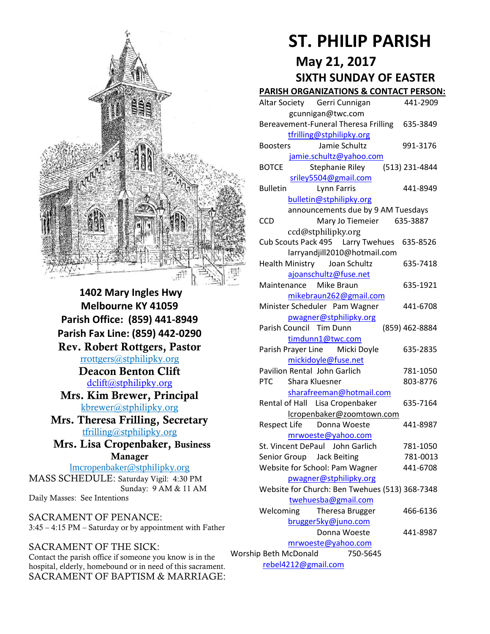

**1402 Mary Ingles Hwy Melbourne KY 41059 Parish Office: (859) 441-8949 Parish Fax Line: (859) 442-0290 Rev. Robert Rottgers, Pastor**  [rrottgers@stphilipky.org](mailto:rrottgers@stphilipky.org) **Deacon Benton Clift**  [dclift@stphilipky.org](mailto:dclift@stphilipky.org) **Mrs. Kim Brewer, Principal**  [kbrewer@stphilipky.org](mailto:kbrewer@stphilipky.org) **Mrs. Theresa Frilling, Secretary**  [tfrilling@stphilipky.org](mailto:tfrilling@stphilipky.org) **Mrs. Lisa Cropenbaker, Business Manager**  lmcropenbaker@stphilipky.org

MASS SCHEDULE: Saturday Vigil: 4:30 PM Sunday: 9 AM & 11 AM Daily Masses: See Intentions

SACRAMENT OF PENANCE: 3:45 – 4:15 PM – Saturday or by appointment with Father

#### SACRAMENT OF THE SICK:

Contact the parish office if someone you know is in the hospital, elderly, homebound or in need of this sacrament. SACRAMENT OF BAPTISM & MARRIAGE:

# **ST. PHILIP PARISH**

# **May 21, 2017**

# **SIXTH SUNDAY OF EASTER**

#### **PARISH ORGANIZATIONS & CONTACT PERSON:**

|                                   | Altar Society Gerri Cunnigan                   | 441-2909       |  |
|-----------------------------------|------------------------------------------------|----------------|--|
|                                   | gcunnigan@twc.com                              |                |  |
|                                   | Bereavement-Funeral Theresa Frilling 635-3849  |                |  |
|                                   | tfrilling@stphilipky.org                       |                |  |
|                                   | Jamie Schultz<br><b>Boosters</b>               | 991-3176       |  |
|                                   | jamie.schultz@yahoo.com                        |                |  |
|                                   | <b>BOTCE</b><br>Stephanie Riley                | (513) 231-4844 |  |
|                                   | sriley5504@gmail.com                           |                |  |
|                                   | <b>Bulletin</b><br>Lynn Farris                 | 441-8949       |  |
|                                   | bulletin@stphilipky.org                        |                |  |
|                                   | announcements due by 9 AM Tuesdays             |                |  |
|                                   | <b>CCD</b><br>Mary Jo Tiemeier 635-3887        |                |  |
|                                   | ccd@stphilipky.org                             |                |  |
|                                   | Cub Scouts Pack 495   Larry Twehues   635-8526 |                |  |
|                                   | larryandjill2010@hotmail.com                   |                |  |
|                                   | Joan Schultz<br><b>Health Ministry</b>         | 635-7418       |  |
|                                   | ajoanschultz@fuse.net                          |                |  |
|                                   | Maintenance Mike Braun                         | 635-1921       |  |
|                                   | mikebraun262@gmail.com                         |                |  |
|                                   | Minister Scheduler Pam Wagner                  | 441-6708       |  |
|                                   | pwagner@stphilipky.org                         |                |  |
|                                   | Parish Council Tim Dunn                        | (859) 462-8884 |  |
|                                   | timdunn1@twc.com                               |                |  |
|                                   | Parish Prayer Line Micki Doyle                 | 635-2835       |  |
|                                   | mickidoyle@fuse.net                            |                |  |
|                                   | Pavilion Rental John Garlich                   | 781-1050       |  |
|                                   | <b>PTC</b><br>Shara Kluesner                   | 803-8776       |  |
|                                   | sharafreeman@hotmail.com                       |                |  |
|                                   | Rental of Hall Lisa Cropenbaker                | 635-7164       |  |
|                                   | lcropenbaker@zoomtown.com                      |                |  |
|                                   | Respect Life Donna Woeste                      | 441-8987       |  |
|                                   | mrwoeste@yahoo.com                             |                |  |
|                                   | St. Vincent DePaul John Garlich                | 781-1050       |  |
|                                   | Senior Group Jack Beiting                      | 781-0013       |  |
|                                   | Website for School: Pam Wagner                 | 441-6708       |  |
|                                   | pwagner@stphilipky.org                         |                |  |
|                                   | Website for Church: Ben Twehues (513) 368-7348 |                |  |
|                                   | twehuesba@gmail.com                            |                |  |
|                                   | Welcoming<br>Theresa Brugger                   | 466-6136       |  |
|                                   | brugger5ky@juno.com                            |                |  |
|                                   | Donna Woeste                                   | 441-8987       |  |
|                                   | mrwoeste@yahoo.com                             |                |  |
| Worship Beth McDonald<br>750-5645 |                                                |                |  |
| rebel4212@gmail.com               |                                                |                |  |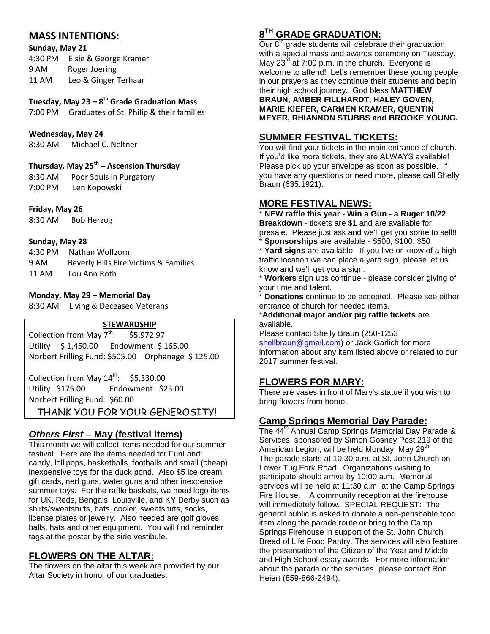# **MASS INTENTIONS:**

**Sunday, May 21** 

4:30 PM Elsie & George Kramer 9 AM Roger Joering 11 AM Leo & Ginger Terhaar

#### **Tuesday, May 23 – 8 th Grade Graduation Mass**

7:00 PM Graduates of St. Philip & their families

#### **Wednesday, May 24**

8:30 AM Michael C. Neltner

#### **Thursday, May 25 th – Ascension Thursday**

8:30 AM Poor Souls in Purgatory 7:00 PM Len Kopowski

#### **Friday, May 26**

8:30 AM Bob Herzog

#### **Sunday, May 28**

| 4:30 PM | Nathan Wolfzorn                       |
|---------|---------------------------------------|
| 9 AM    | Beverly Hills Fire Victims & Families |
| 11 AM   | Lou Ann Roth                          |

#### **Monday, May 29 – Memorial Day**

8:30 AM Living & Deceased Veterans

#### **STEWARDSHIP**

Collection from May  $7^{th}$ : \$5,972.97 Utility \$ 1,450.00 Endowment \$ 165.00 Norbert Frilling Fund: \$505.00 Orphanage \$ 125.00

Collection from May  $14^{\text{th}}$ : \$5,330.00 Utility \$175.00 Endowment: \$25.00 Norbert Frilling Fund: \$60.00

THANK YOU FOR YOUR GENEROSITY!

#### *Others First* **– May (festival items)**

This month we will collect items needed for our summer festival. Here are the items needed for FunLand: candy, lollipops, basketballs, footballs and small (cheap) inexpensive toys for the duck pond. Also \$5 ice cream gift cards, nerf guns, water guns and other inexpensive summer toys. For the raffle baskets, we need logo items for UK, Reds, Bengals, Louisville, and KY Derby such as shirts/sweatshirts, hats, cooler, sweatshirts, socks, license plates or jewelry. Also needed are golf gloves, balls, hats and other equipment. You will find reminder tags at the poster by the side vestibule.

#### **FLOWERS ON THE ALTAR:**

The flowers on the altar this week are provided by our Altar Society in honor of our graduates.

# **8 TH GRADE GRADUATION:**

Our 8<sup>th</sup> grade students will celebrate their graduation with a special mass and awards ceremony on Tuesday, May  $23<sup>rd</sup>$  at 7:00 p.m. in the church. Everyone is welcome to attend! Let's remember these young people in our prayers as they continue their students and begin their high school journey. God bless **MATTHEW BRAUN, AMBER FILLHARDT, HALEY GOVEN,** 

**MARIE KIEFER, CARMEN KRAMER, QUENTIN MEYER, RHIANNON STUBBS and BROOKE YOUNG.**

#### **SUMMER FESTIVAL TICKETS:**

You will find your tickets in the main entrance of church. If you'd like more tickets, they are ALWAYS available! Please pick up your envelope as soon as possible. If you have any questions or need more, please call Shelly Braun (635.1921).

#### **MORE FESTIVAL NEWS:**

\* **NEW raffle this year - Win a Gun - a Ruger 10/22 Breakdown** - tickets are \$1 and are available for presale. Please just ask and we'll get you some to sell!! \* **Sponsorships** are available - \$500, \$100, \$50

\* **Yard signs** are available. If you live or know of a high traffic location we can place a yard sign, please let us know and we'll get you a sign.

\* **Workers** sign ups continue - please consider giving of your time and talent.

**Donations** continue to be accepted. Please see either entrance of church for needed items.

\***Additional major and/or pig raffle tickets** are available.

Please contact Shelly Braun (250-1253 [shellbraun@gmail.com\)](mailto:shellbraun@gmail.com) or Jack Garlich for more information about any item listed above or related to our 2017 summer festival.

#### **FLOWERS FOR MARY:**

There are vases in front of Mary's statue if you wish to bring flowers from home.

#### **Camp Springs Memorial Day Parade:**

The 44<sup>th</sup> Annual Camp Springs Memorial Day Parade & Services, sponsored by Simon Gosney Post 219 of the American Legion, will be held Monday, May 29<sup>th</sup>. The parade starts at 10:30 a.m. at St. John Church on Lower Tug Fork Road. Organizations wishing to participate should arrive by 10:00 a.m. Memorial services will be held at 11:30 a.m. at the Camp Springs Fire House. A community reception at the firehouse will immediately follow. SPECIAL REQUEST: The general public is asked to donate a non-perishable food item along the parade route or bring to the Camp Springs Firehouse in support of the St. John Church Bread of Life Food Pantry. The services will also feature the presentation of the Citizen of the Year and Middle and High School essay awards. For more information about the parade or the services, please contact Ron Heiert (859-866-2494).